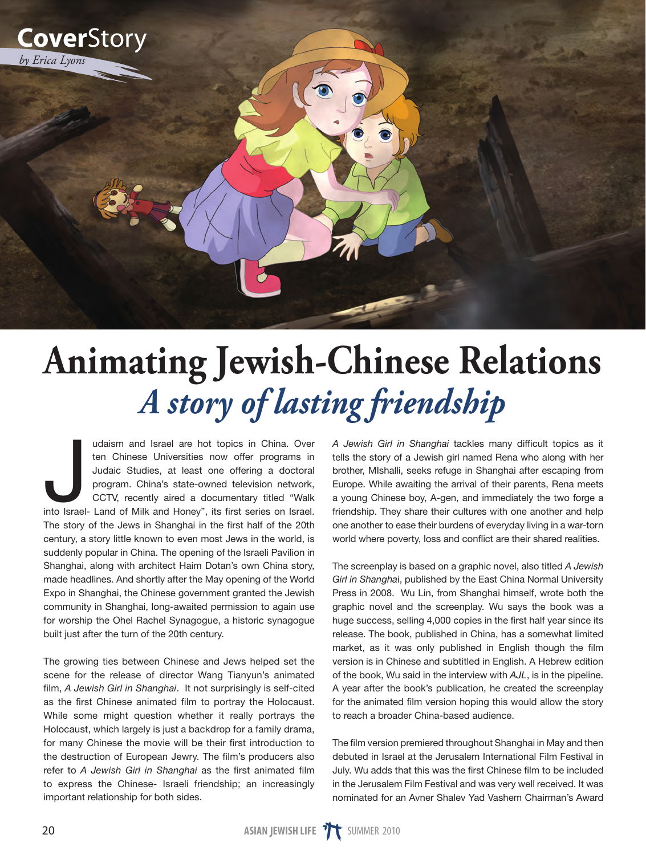

## **Animating Jewish-Chinese Relations** *A story of lasting friendship*

udaism and Israel are hot topics in China. Over<br>ten Chinese Universities now offer programs in<br>Judaic Studies, at least one offering a doctoral<br>program. China's state-owned television network,<br>CCTV, recently aired a docume udaism and Israel are hot topics in China. Over ten Chinese Universities now offer programs in Judaic Studies, at least one offering a doctoral program. China's state-owned television network, CCTV, recently aired a documentary titled "Walk The story of the Jews in Shanghai in the first half of the 20th century, a story little known to even most Jews in the world, is suddenly popular in China. The opening of the Israeli Pavilion in Shanghai, along with architect Haim Dotan's own China story, made headlines. And shortly after the May opening of the World Expo in Shanghai, the Chinese government granted the Jewish community in Shanghai, long-awaited permission to again use for worship the Ohel Rachel Synagogue, a historic synagogue built just after the turn of the 20th century.

The growing ties between Chinese and Jews helped set the scene for the release of director Wang Tianyun's animated film, *A Jewish Girl in Shanghai*. It not surprisingly is self-cited as the first Chinese animated film to portray the Holocaust. While some might question whether it really portrays the Holocaust, which largely is just a backdrop for a family drama, for many Chinese the movie will be their first introduction to the destruction of European Jewry. The film's producers also refer to *A Jewish Girl in Shanghai* as the first animated film to express the Chinese- Israeli friendship; an increasingly important relationship for both sides.

*A Jewish Girl in Shanghai* tackles many difficult topics as it tells the story of a Jewish girl named Rena who along with her brother, MIshalli, seeks refuge in Shanghai after escaping from Europe. While awaiting the arrival of their parents, Rena meets a young Chinese boy, A-gen, and immediately the two forge a friendship. They share their cultures with one another and help one another to ease their burdens of everyday living in a war-torn world where poverty, loss and conflict are their shared realities.

The screenplay is based on a graphic novel, also titled *A Jewish Girl in Shangha*i, published by the East China Normal University Press in 2008. Wu Lin, from Shanghai himself, wrote both the graphic novel and the screenplay. Wu says the book was a huge success, selling 4,000 copies in the first half year since its release. The book, published in China, has a somewhat limited market, as it was only published in English though the film version is in Chinese and subtitled in English. A Hebrew edition of the book, Wu said in the interview with *AJL*, is in the pipeline. A year after the book's publication, he created the screenplay for the animated film version hoping this would allow the story to reach a broader China-based audience.

The film version premiered throughout Shanghai in May and then debuted in Israel at the Jerusalem International Film Festival in July. Wu adds that this was the first Chinese film to be included in the Jerusalem Film Festival and was very well received. It was nominated for an Avner Shalev Yad Vashem Chairman's Award

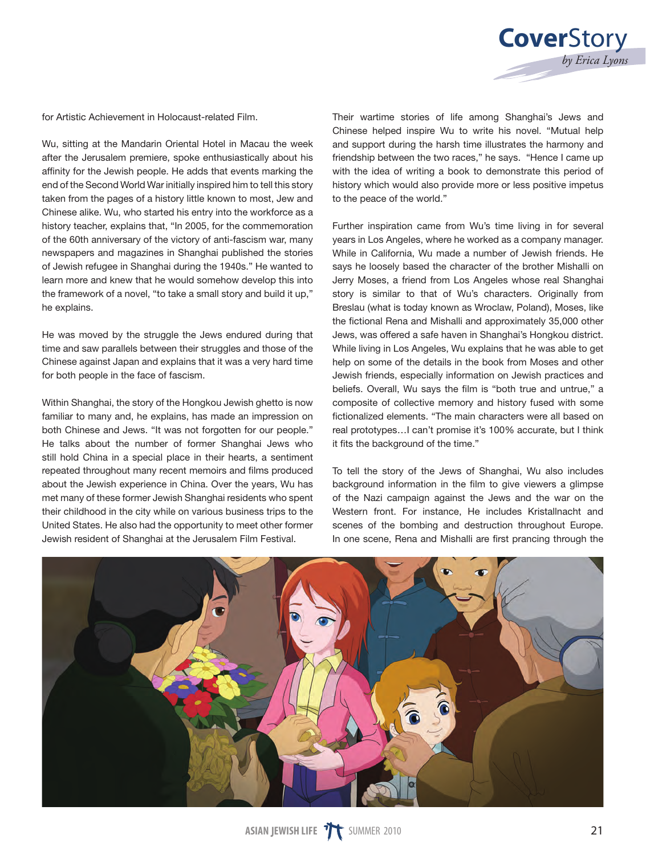

for Artistic Achievement in Holocaust-related Film.

Wu, sitting at the Mandarin Oriental Hotel in Macau the week after the Jerusalem premiere, spoke enthusiastically about his affinity for the Jewish people. He adds that events marking the end of the Second World War initially inspired him to tell this story taken from the pages of a history little known to most, Jew and Chinese alike. Wu, who started his entry into the workforce as a history teacher, explains that, "In 2005, for the commemoration of the 60th anniversary of the victory of anti-fascism war, many newspapers and magazines in Shanghai published the stories of Jewish refugee in Shanghai during the 1940s." He wanted to learn more and knew that he would somehow develop this into the framework of a novel, "to take a small story and build it up," he explains.

He was moved by the struggle the Jews endured during that time and saw parallels between their struggles and those of the Chinese against Japan and explains that it was a very hard time for both people in the face of fascism.

Within Shanghai, the story of the Hongkou Jewish ghetto is now familiar to many and, he explains, has made an impression on both Chinese and Jews. "It was not forgotten for our people." He talks about the number of former Shanghai Jews who still hold China in a special place in their hearts, a sentiment repeated throughout many recent memoirs and films produced about the Jewish experience in China. Over the years, Wu has met many of these former Jewish Shanghai residents who spent their childhood in the city while on various business trips to the United States. He also had the opportunity to meet other former Jewish resident of Shanghai at the Jerusalem Film Festival.

Their wartime stories of life among Shanghai's Jews and Chinese helped inspire Wu to write his novel. "Mutual help and support during the harsh time illustrates the harmony and friendship between the two races," he says. "Hence I came up with the idea of writing a book to demonstrate this period of history which would also provide more or less positive impetus to the peace of the world."

Further inspiration came from Wu's time living in for several years in Los Angeles, where he worked as a company manager. While in California, Wu made a number of Jewish friends. He says he loosely based the character of the brother Mishalli on Jerry Moses, a friend from Los Angeles whose real Shanghai story is similar to that of Wu's characters. Originally from Breslau (what is today known as Wroclaw, Poland), Moses, like the fictional Rena and Mishalli and approximately 35,000 other Jews, was offered a safe haven in Shanghai's Hongkou district. While living in Los Angeles, Wu explains that he was able to get help on some of the details in the book from Moses and other Jewish friends, especially information on Jewish practices and beliefs. Overall, Wu says the film is "both true and untrue," a composite of collective memory and history fused with some fictionalized elements. "The main characters were all based on real prototypes…I can't promise it's 100% accurate, but I think it fits the background of the time."

To tell the story of the Jews of Shanghai, Wu also includes background information in the film to give viewers a glimpse of the Nazi campaign against the Jews and the war on the Western front. For instance, He includes Kristallnacht and scenes of the bombing and destruction throughout Europe. In one scene, Rena and Mishalli are first prancing through the